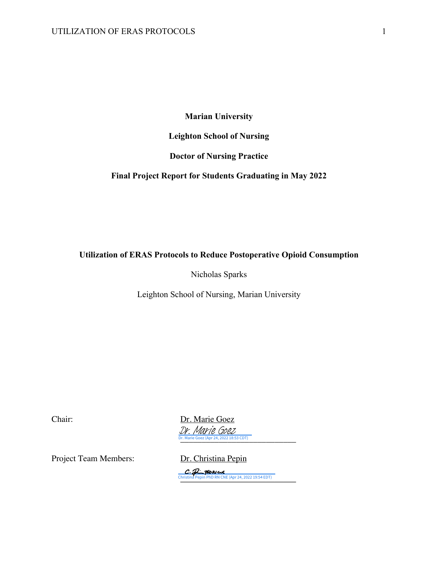### **Marian University**

### **Leighton School of Nursing**

### **Doctor of Nursing Practice**

### **Final Project Report for Students Graduating in May 2022**

### **Utilization of ERAS Protocols to Reduce Postoperative Opioid Consumption**

Nicholas Sparks

Leighton School of Nursing, Marian University

Chair: Dr. Marie Goez Dr. Marie Goez (Apr 24, 2022 18:53 CDT) Dr. Marie Goez

Project Team Members: Dr. Christina Pepin

[\\_\\_\\_\\_\\_\\_\\_\\_\\_\\_\\_\\_\\_\\_\\_\\_\\_\\_\\_\\_\\_\\_\\_\\_\\_\\_\\_](https://na1.documents.adobe.com/verifier?tx=CBJCHBCAABAATQkRhECCjwPhzCFkEg8kFPkLSey-R5t8) Christina Pepin PhD RN CNE (Apr 24, 2022 19:54 EDT)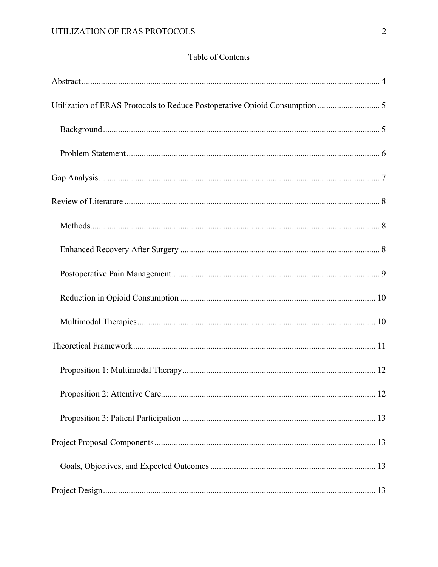# Table of Contents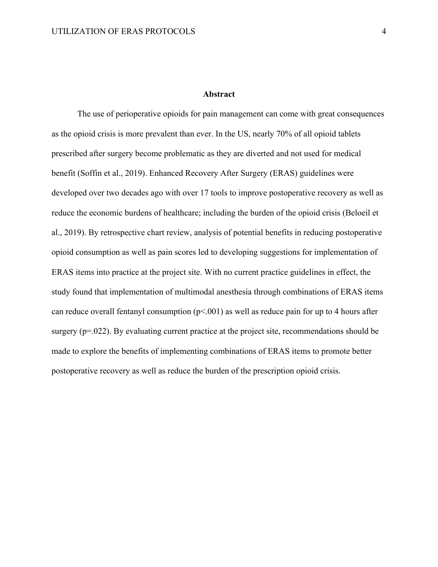#### **Abstract**

The use of perioperative opioids for pain management can come with great consequences as the opioid crisis is more prevalent than ever. In the US, nearly 70% of all opioid tablets prescribed after surgery become problematic as they are diverted and not used for medical benefit (Soffin et al., 2019). Enhanced Recovery After Surgery (ERAS) guidelines were developed over two decades ago with over 17 tools to improve postoperative recovery as well as reduce the economic burdens of healthcare; including the burden of the opioid crisis (Beloeil et al., 2019). By retrospective chart review, analysis of potential benefits in reducing postoperative opioid consumption as well as pain scores led to developing suggestions for implementation of ERAS items into practice at the project site. With no current practice guidelines in effect, the study found that implementation of multimodal anesthesia through combinations of ERAS items can reduce overall fentanyl consumption  $(p< 0.001)$  as well as reduce pain for up to 4 hours after surgery (p=.022). By evaluating current practice at the project site, recommendations should be made to explore the benefits of implementing combinations of ERAS items to promote better postoperative recovery as well as reduce the burden of the prescription opioid crisis.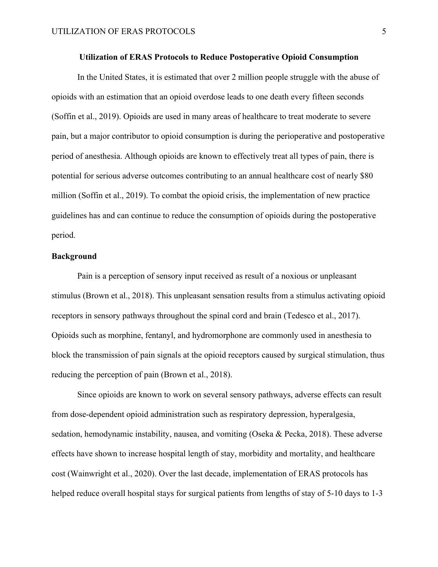#### **Utilization of ERAS Protocols to Reduce Postoperative Opioid Consumption**

In the United States, it is estimated that over 2 million people struggle with the abuse of opioids with an estimation that an opioid overdose leads to one death every fifteen seconds (Soffin et al., 2019). Opioids are used in many areas of healthcare to treat moderate to severe pain, but a major contributor to opioid consumption is during the perioperative and postoperative period of anesthesia. Although opioids are known to effectively treat all types of pain, there is potential for serious adverse outcomes contributing to an annual healthcare cost of nearly \$80 million (Soffin et al., 2019). To combat the opioid crisis, the implementation of new practice guidelines has and can continue to reduce the consumption of opioids during the postoperative period.

### **Background**

Pain is a perception of sensory input received as result of a noxious or unpleasant stimulus (Brown et al., 2018). This unpleasant sensation results from a stimulus activating opioid receptors in sensory pathways throughout the spinal cord and brain (Tedesco et al., 2017). Opioids such as morphine, fentanyl, and hydromorphone are commonly used in anesthesia to block the transmission of pain signals at the opioid receptors caused by surgical stimulation, thus reducing the perception of pain (Brown et al., 2018).

Since opioids are known to work on several sensory pathways, adverse effects can result from dose-dependent opioid administration such as respiratory depression, hyperalgesia, sedation, hemodynamic instability, nausea, and vomiting (Oseka & Pecka, 2018). These adverse effects have shown to increase hospital length of stay, morbidity and mortality, and healthcare cost (Wainwright et al., 2020). Over the last decade, implementation of ERAS protocols has helped reduce overall hospital stays for surgical patients from lengths of stay of 5-10 days to 1-3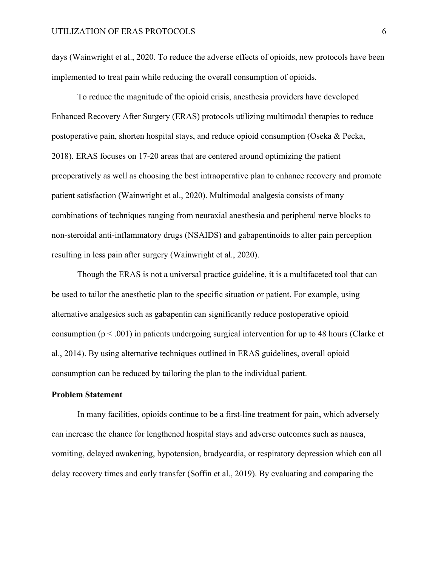days (Wainwright et al., 2020. To reduce the adverse effects of opioids, new protocols have been implemented to treat pain while reducing the overall consumption of opioids.

To reduce the magnitude of the opioid crisis, anesthesia providers have developed Enhanced Recovery After Surgery (ERAS) protocols utilizing multimodal therapies to reduce postoperative pain, shorten hospital stays, and reduce opioid consumption (Oseka & Pecka, 2018). ERAS focuses on 17-20 areas that are centered around optimizing the patient preoperatively as well as choosing the best intraoperative plan to enhance recovery and promote patient satisfaction (Wainwright et al., 2020). Multimodal analgesia consists of many combinations of techniques ranging from neuraxial anesthesia and peripheral nerve blocks to non-steroidal anti-inflammatory drugs (NSAIDS) and gabapentinoids to alter pain perception resulting in less pain after surgery (Wainwright et al., 2020).

Though the ERAS is not a universal practice guideline, it is a multifaceted tool that can be used to tailor the anesthetic plan to the specific situation or patient. For example, using alternative analgesics such as gabapentin can significantly reduce postoperative opioid consumption ( $p < .001$ ) in patients undergoing surgical intervention for up to 48 hours (Clarke et al., 2014). By using alternative techniques outlined in ERAS guidelines, overall opioid consumption can be reduced by tailoring the plan to the individual patient.

### **Problem Statement**

In many facilities, opioids continue to be a first-line treatment for pain, which adversely can increase the chance for lengthened hospital stays and adverse outcomes such as nausea, vomiting, delayed awakening, hypotension, bradycardia, or respiratory depression which can all delay recovery times and early transfer (Soffin et al., 2019). By evaluating and comparing the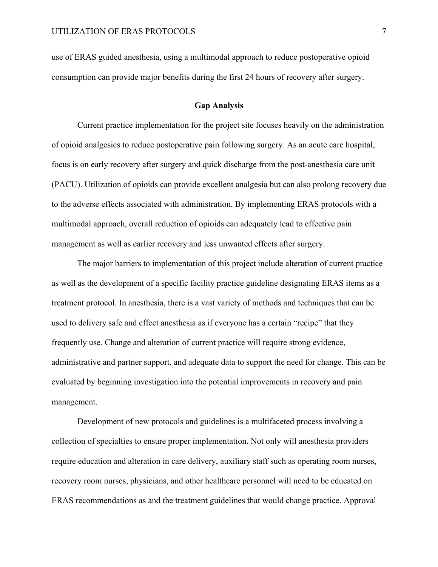use of ERAS guided anesthesia, using a multimodal approach to reduce postoperative opioid consumption can provide major benefits during the first 24 hours of recovery after surgery.

#### **Gap Analysis**

Current practice implementation for the project site focuses heavily on the administration of opioid analgesics to reduce postoperative pain following surgery. As an acute care hospital, focus is on early recovery after surgery and quick discharge from the post-anesthesia care unit (PACU). Utilization of opioids can provide excellent analgesia but can also prolong recovery due to the adverse effects associated with administration. By implementing ERAS protocols with a multimodal approach, overall reduction of opioids can adequately lead to effective pain management as well as earlier recovery and less unwanted effects after surgery.

The major barriers to implementation of this project include alteration of current practice as well as the development of a specific facility practice guideline designating ERAS items as a treatment protocol. In anesthesia, there is a vast variety of methods and techniques that can be used to delivery safe and effect anesthesia as if everyone has a certain "recipe" that they frequently use. Change and alteration of current practice will require strong evidence, administrative and partner support, and adequate data to support the need for change. This can be evaluated by beginning investigation into the potential improvements in recovery and pain management.

Development of new protocols and guidelines is a multifaceted process involving a collection of specialties to ensure proper implementation. Not only will anesthesia providers require education and alteration in care delivery, auxiliary staff such as operating room nurses, recovery room nurses, physicians, and other healthcare personnel will need to be educated on ERAS recommendations as and the treatment guidelines that would change practice. Approval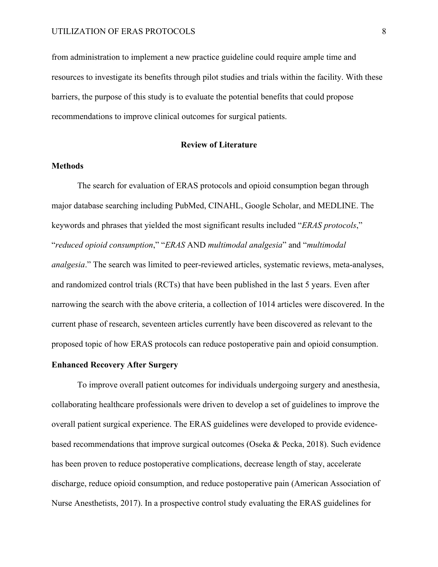from administration to implement a new practice guideline could require ample time and resources to investigate its benefits through pilot studies and trials within the facility. With these barriers, the purpose of this study is to evaluate the potential benefits that could propose recommendations to improve clinical outcomes for surgical patients.

#### **Review of Literature**

### **Methods**

The search for evaluation of ERAS protocols and opioid consumption began through major database searching including PubMed, CINAHL, Google Scholar, and MEDLINE. The keywords and phrases that yielded the most significant results included "*ERAS protocols*," "*reduced opioid consumption*," "*ERAS* AND *multimodal analgesia*" and "*multimodal analgesia*." The search was limited to peer-reviewed articles, systematic reviews, meta-analyses, and randomized control trials (RCTs) that have been published in the last 5 years. Even after narrowing the search with the above criteria, a collection of 1014 articles were discovered. In the current phase of research, seventeen articles currently have been discovered as relevant to the proposed topic of how ERAS protocols can reduce postoperative pain and opioid consumption.

#### **Enhanced Recovery After Surgery**

To improve overall patient outcomes for individuals undergoing surgery and anesthesia, collaborating healthcare professionals were driven to develop a set of guidelines to improve the overall patient surgical experience. The ERAS guidelines were developed to provide evidencebased recommendations that improve surgical outcomes (Oseka & Pecka, 2018). Such evidence has been proven to reduce postoperative complications, decrease length of stay, accelerate discharge, reduce opioid consumption, and reduce postoperative pain (American Association of Nurse Anesthetists, 2017). In a prospective control study evaluating the ERAS guidelines for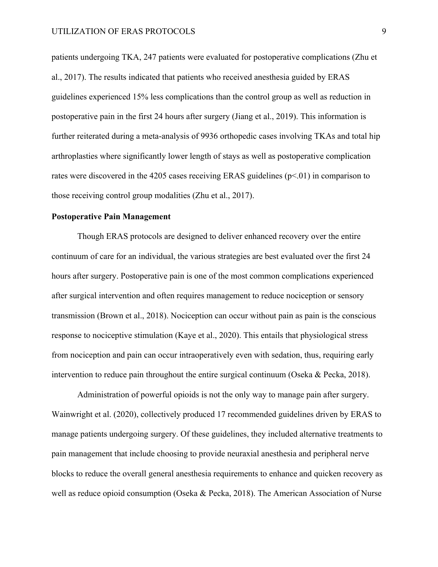patients undergoing TKA, 247 patients were evaluated for postoperative complications (Zhu et al., 2017). The results indicated that patients who received anesthesia guided by ERAS guidelines experienced 15% less complications than the control group as well as reduction in postoperative pain in the first 24 hours after surgery (Jiang et al., 2019). This information is further reiterated during a meta-analysis of 9936 orthopedic cases involving TKAs and total hip arthroplasties where significantly lower length of stays as well as postoperative complication rates were discovered in the 4205 cases receiving ERAS guidelines ( $p<0$ 1) in comparison to those receiving control group modalities (Zhu et al., 2017).

### **Postoperative Pain Management**

Though ERAS protocols are designed to deliver enhanced recovery over the entire continuum of care for an individual, the various strategies are best evaluated over the first 24 hours after surgery. Postoperative pain is one of the most common complications experienced after surgical intervention and often requires management to reduce nociception or sensory transmission (Brown et al., 2018). Nociception can occur without pain as pain is the conscious response to nociceptive stimulation (Kaye et al., 2020). This entails that physiological stress from nociception and pain can occur intraoperatively even with sedation, thus, requiring early intervention to reduce pain throughout the entire surgical continuum (Oseka & Pecka, 2018).

Administration of powerful opioids is not the only way to manage pain after surgery. Wainwright et al. (2020), collectively produced 17 recommended guidelines driven by ERAS to manage patients undergoing surgery. Of these guidelines, they included alternative treatments to pain management that include choosing to provide neuraxial anesthesia and peripheral nerve blocks to reduce the overall general anesthesia requirements to enhance and quicken recovery as well as reduce opioid consumption (Oseka & Pecka, 2018). The American Association of Nurse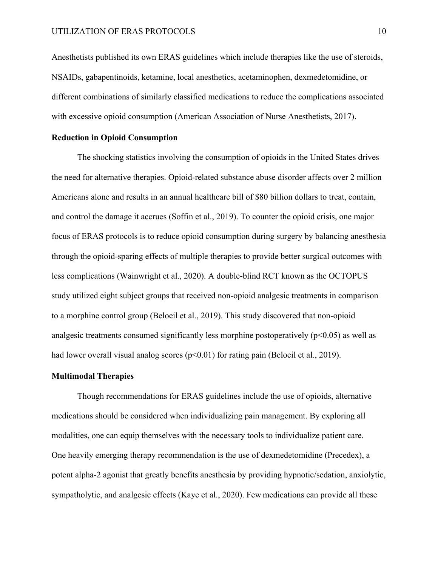Anesthetists published its own ERAS guidelines which include therapies like the use of steroids, NSAIDs, gabapentinoids, ketamine, local anesthetics, acetaminophen, dexmedetomidine, or different combinations of similarly classified medications to reduce the complications associated with excessive opioid consumption (American Association of Nurse Anesthetists, 2017).

### **Reduction in Opioid Consumption**

The shocking statistics involving the consumption of opioids in the United States drives the need for alternative therapies. Opioid-related substance abuse disorder affects over 2 million Americans alone and results in an annual healthcare bill of \$80 billion dollars to treat, contain, and control the damage it accrues (Soffin et al., 2019). To counter the opioid crisis, one major focus of ERAS protocols is to reduce opioid consumption during surgery by balancing anesthesia through the opioid-sparing effects of multiple therapies to provide better surgical outcomes with less complications (Wainwright et al., 2020). A double-blind RCT known as the OCTOPUS study utilized eight subject groups that received non-opioid analgesic treatments in comparison to a morphine control group (Beloeil et al., 2019). This study discovered that non-opioid analgesic treatments consumed significantly less morphine postoperatively  $(p<0.05)$  as well as had lower overall visual analog scores  $(p<0.01)$  for rating pain (Beloeil et al., 2019).

#### **Multimodal Therapies**

Though recommendations for ERAS guidelines include the use of opioids, alternative medications should be considered when individualizing pain management. By exploring all modalities, one can equip themselves with the necessary tools to individualize patient care. One heavily emerging therapy recommendation is the use of dexmedetomidine (Precedex), a potent alpha-2 agonist that greatly benefits anesthesia by providing hypnotic/sedation, anxiolytic, sympatholytic, and analgesic effects (Kaye et al., 2020). Few medications can provide all these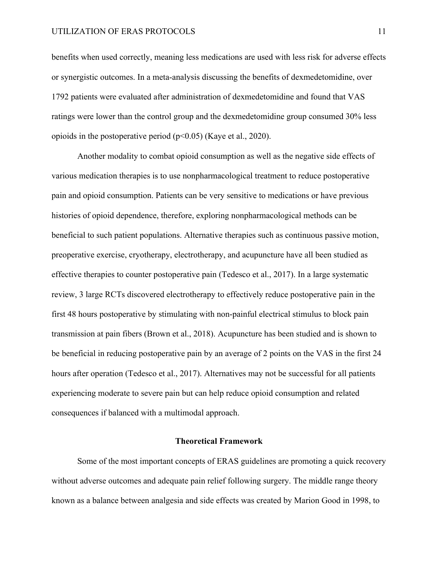benefits when used correctly, meaning less medications are used with less risk for adverse effects or synergistic outcomes. In a meta-analysis discussing the benefits of dexmedetomidine, over 1792 patients were evaluated after administration of dexmedetomidine and found that VAS ratings were lower than the control group and the dexmedetomidine group consumed 30% less opioids in the postoperative period (p<0.05) (Kaye et al., 2020).

Another modality to combat opioid consumption as well as the negative side effects of various medication therapies is to use nonpharmacological treatment to reduce postoperative pain and opioid consumption. Patients can be very sensitive to medications or have previous histories of opioid dependence, therefore, exploring nonpharmacological methods can be beneficial to such patient populations. Alternative therapies such as continuous passive motion, preoperative exercise, cryotherapy, electrotherapy, and acupuncture have all been studied as effective therapies to counter postoperative pain (Tedesco et al., 2017). In a large systematic review, 3 large RCTs discovered electrotherapy to effectively reduce postoperative pain in the first 48 hours postoperative by stimulating with non-painful electrical stimulus to block pain transmission at pain fibers (Brown et al., 2018). Acupuncture has been studied and is shown to be beneficial in reducing postoperative pain by an average of 2 points on the VAS in the first 24 hours after operation (Tedesco et al., 2017). Alternatives may not be successful for all patients experiencing moderate to severe pain but can help reduce opioid consumption and related consequences if balanced with a multimodal approach.

### **Theoretical Framework**

Some of the most important concepts of ERAS guidelines are promoting a quick recovery without adverse outcomes and adequate pain relief following surgery. The middle range theory known as a balance between analgesia and side effects was created by Marion Good in 1998, to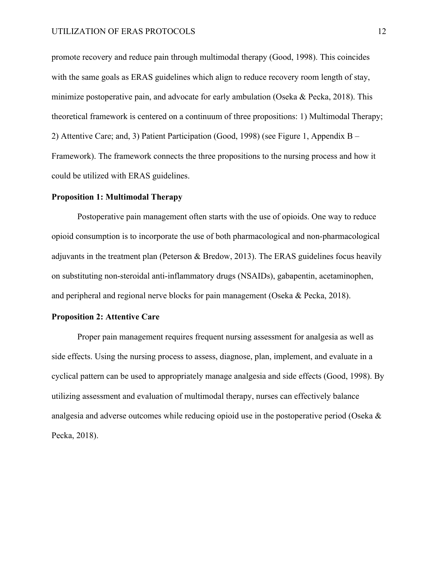promote recovery and reduce pain through multimodal therapy (Good, 1998). This coincides with the same goals as ERAS guidelines which align to reduce recovery room length of stay, minimize postoperative pain, and advocate for early ambulation (Oseka & Pecka, 2018). This theoretical framework is centered on a continuum of three propositions: 1) Multimodal Therapy; 2) Attentive Care; and, 3) Patient Participation (Good, 1998) (see Figure 1, Appendix B – Framework). The framework connects the three propositions to the nursing process and how it could be utilized with ERAS guidelines.

### **Proposition 1: Multimodal Therapy**

Postoperative pain management often starts with the use of opioids. One way to reduce opioid consumption is to incorporate the use of both pharmacological and non-pharmacological adjuvants in the treatment plan (Peterson & Bredow, 2013). The ERAS guidelines focus heavily on substituting non-steroidal anti-inflammatory drugs (NSAIDs), gabapentin, acetaminophen, and peripheral and regional nerve blocks for pain management (Oseka & Pecka, 2018).

### **Proposition 2: Attentive Care**

Proper pain management requires frequent nursing assessment for analgesia as well as side effects. Using the nursing process to assess, diagnose, plan, implement, and evaluate in a cyclical pattern can be used to appropriately manage analgesia and side effects (Good, 1998). By utilizing assessment and evaluation of multimodal therapy, nurses can effectively balance analgesia and adverse outcomes while reducing opioid use in the postoperative period (Oseka & Pecka, 2018).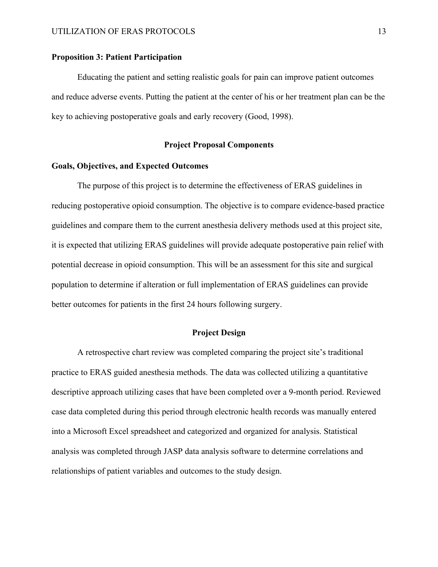#### **Proposition 3: Patient Participation**

Educating the patient and setting realistic goals for pain can improve patient outcomes and reduce adverse events. Putting the patient at the center of his or her treatment plan can be the key to achieving postoperative goals and early recovery (Good, 1998).

#### **Project Proposal Components**

#### **Goals, Objectives, and Expected Outcomes**

The purpose of this project is to determine the effectiveness of ERAS guidelines in reducing postoperative opioid consumption. The objective is to compare evidence-based practice guidelines and compare them to the current anesthesia delivery methods used at this project site, it is expected that utilizing ERAS guidelines will provide adequate postoperative pain relief with potential decrease in opioid consumption. This will be an assessment for this site and surgical population to determine if alteration or full implementation of ERAS guidelines can provide better outcomes for patients in the first 24 hours following surgery.

#### **Project Design**

A retrospective chart review was completed comparing the project site's traditional practice to ERAS guided anesthesia methods. The data was collected utilizing a quantitative descriptive approach utilizing cases that have been completed over a 9-month period. Reviewed case data completed during this period through electronic health records was manually entered into a Microsoft Excel spreadsheet and categorized and organized for analysis. Statistical analysis was completed through JASP data analysis software to determine correlations and relationships of patient variables and outcomes to the study design.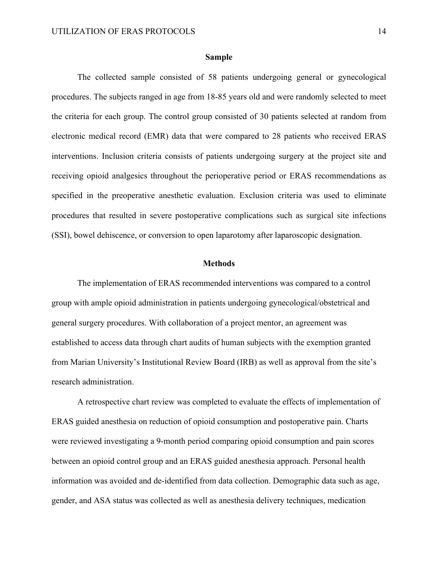#### **Sample**

The collected sample consisted of 58 patients undergoing general or gynecological procedures. The subjects ranged in age from 18-85 years old and were randomly selected to meet the criteria for each group. The control group consisted of 30 patients selected at random from electronic medical record (EMR) data that were compared to 28 patients who received ERAS interventions. Inclusion criteria consists of patients undergoing surgery at the project site and receiving opioid analgesics throughout the perioperative period or ERAS recommendations as specified in the preoperative anesthetic evaluation. Exclusion criteria was used to eliminate procedures that resulted in severe postoperative complications such as surgical site infections (SSI), bowel dehiscence, or conversion to open laparotomy after laparoscopic designation.

#### **Methods**

The implementation of ERAS recommended interventions was compared to a control group with ample opioid administration in patients undergoing gynecological/obstetrical and general surgery procedures. With collaboration of a project mentor, an agreement was established to access data through chart audits of human subjects with the exemption granted from Marian University's Institutional Review Board (IRB) as well as approval from the site's research administration.

A retrospective chart review was completed to evaluate the effects of implementation of ERAS guided anesthesia on reduction of opioid consumption and postoperative pain. Charts were reviewed investigating a 9-month period comparing opioid consumption and pain scores between an opioid control group and an ERAS guided anesthesia approach. Personal health information was avoided and de-identified from data collection. Demographic data such as age, gender, and ASA status was collected as well as anesthesia delivery techniques, medication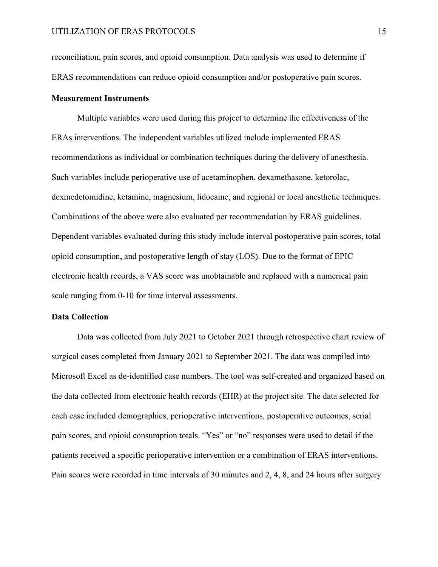reconciliation, pain scores, and opioid consumption. Data analysis was used to determine if ERAS recommendations can reduce opioid consumption and/or postoperative pain scores.

#### **Measurement Instruments**

Multiple variables were used during this project to determine the effectiveness of the ERAs interventions. The independent variables utilized include implemented ERAS recommendations as individual or combination techniques during the delivery of anesthesia. Such variables include perioperative use of acetaminophen, dexamethasone, ketorolac, dexmedetomidine, ketamine, magnesium, lidocaine, and regional or local anesthetic techniques. Combinations of the above were also evaluated per recommendation by ERAS guidelines. Dependent variables evaluated during this study include interval postoperative pain scores, total opioid consumption, and postoperative length of stay (LOS). Due to the format of EPIC electronic health records, a VAS score was unobtainable and replaced with a numerical pain scale ranging from 0-10 for time interval assessments.

#### **Data Collection**

Data was collected from July 2021 to October 2021 through retrospective chart review of surgical cases completed from January 2021 to September 2021. The data was compiled into Microsoft Excel as de-identified case numbers. The tool was self-created and organized based on the data collected from electronic health records (EHR) at the project site. The data selected for each case included demographics, perioperative interventions, postoperative outcomes, serial pain scores, and opioid consumption totals. "Yes" or "no" responses were used to detail if the patients received a specific perioperative intervention or a combination of ERAS interventions. Pain scores were recorded in time intervals of 30 minutes and 2, 4, 8, and 24 hours after surgery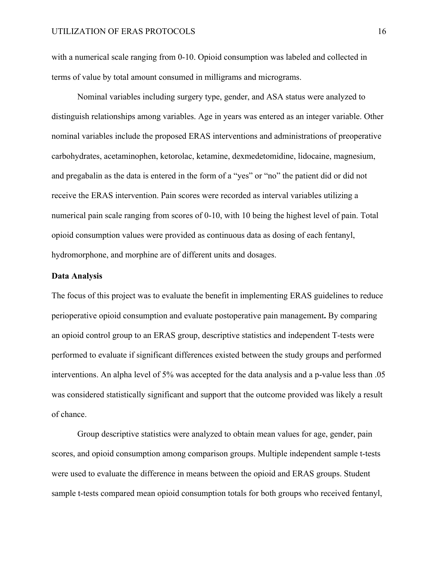with a numerical scale ranging from 0-10. Opioid consumption was labeled and collected in terms of value by total amount consumed in milligrams and micrograms.

Nominal variables including surgery type, gender, and ASA status were analyzed to distinguish relationships among variables. Age in years was entered as an integer variable. Other nominal variables include the proposed ERAS interventions and administrations of preoperative carbohydrates, acetaminophen, ketorolac, ketamine, dexmedetomidine, lidocaine, magnesium, and pregabalin as the data is entered in the form of a "yes" or "no" the patient did or did not receive the ERAS intervention. Pain scores were recorded as interval variables utilizing a numerical pain scale ranging from scores of 0-10, with 10 being the highest level of pain. Total opioid consumption values were provided as continuous data as dosing of each fentanyl, hydromorphone, and morphine are of different units and dosages.

#### **Data Analysis**

The focus of this project was to evaluate the benefit in implementing ERAS guidelines to reduce perioperative opioid consumption and evaluate postoperative pain management**.** By comparing an opioid control group to an ERAS group, descriptive statistics and independent T-tests were performed to evaluate if significant differences existed between the study groups and performed interventions. An alpha level of 5% was accepted for the data analysis and a p-value less than .05 was considered statistically significant and support that the outcome provided was likely a result of chance.

Group descriptive statistics were analyzed to obtain mean values for age, gender, pain scores, and opioid consumption among comparison groups. Multiple independent sample t-tests were used to evaluate the difference in means between the opioid and ERAS groups. Student sample t-tests compared mean opioid consumption totals for both groups who received fentanyl,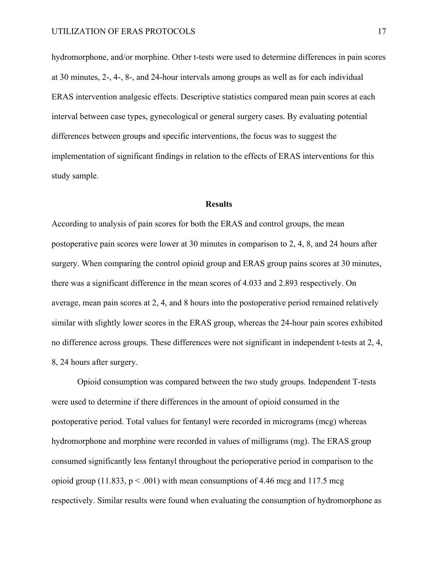hydromorphone, and/or morphine. Other t-tests were used to determine differences in pain scores at 30 minutes, 2-, 4-, 8-, and 24-hour intervals among groups as well as for each individual ERAS intervention analgesic effects. Descriptive statistics compared mean pain scores at each interval between case types, gynecological or general surgery cases. By evaluating potential differences between groups and specific interventions, the focus was to suggest the implementation of significant findings in relation to the effects of ERAS interventions for this study sample.

#### **Results**

According to analysis of pain scores for both the ERAS and control groups, the mean postoperative pain scores were lower at 30 minutes in comparison to 2, 4, 8, and 24 hours after surgery. When comparing the control opioid group and ERAS group pains scores at 30 minutes, there was a significant difference in the mean scores of 4.033 and 2.893 respectively. On average, mean pain scores at 2, 4, and 8 hours into the postoperative period remained relatively similar with slightly lower scores in the ERAS group, whereas the 24-hour pain scores exhibited no difference across groups. These differences were not significant in independent t-tests at 2, 4, 8, 24 hours after surgery.

Opioid consumption was compared between the two study groups. Independent T-tests were used to determine if there differences in the amount of opioid consumed in the postoperative period. Total values for fentanyl were recorded in micrograms (mcg) whereas hydromorphone and morphine were recorded in values of milligrams (mg). The ERAS group consumed significantly less fentanyl throughout the perioperative period in comparison to the opioid group (11.833,  $p < .001$ ) with mean consumptions of 4.46 mcg and 117.5 mcg respectively. Similar results were found when evaluating the consumption of hydromorphone as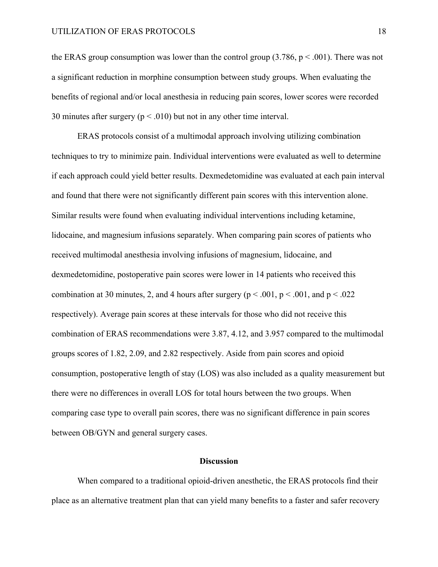the ERAS group consumption was lower than the control group  $(3.786, p < .001)$ . There was not a significant reduction in morphine consumption between study groups. When evaluating the benefits of regional and/or local anesthesia in reducing pain scores, lower scores were recorded 30 minutes after surgery ( $p < .010$ ) but not in any other time interval.

ERAS protocols consist of a multimodal approach involving utilizing combination techniques to try to minimize pain. Individual interventions were evaluated as well to determine if each approach could yield better results. Dexmedetomidine was evaluated at each pain interval and found that there were not significantly different pain scores with this intervention alone. Similar results were found when evaluating individual interventions including ketamine, lidocaine, and magnesium infusions separately. When comparing pain scores of patients who received multimodal anesthesia involving infusions of magnesium, lidocaine, and dexmedetomidine, postoperative pain scores were lower in 14 patients who received this combination at 30 minutes, 2, and 4 hours after surgery ( $p < .001$ ,  $p < .001$ , and  $p < .022$ respectively). Average pain scores at these intervals for those who did not receive this combination of ERAS recommendations were 3.87, 4.12, and 3.957 compared to the multimodal groups scores of 1.82, 2.09, and 2.82 respectively. Aside from pain scores and opioid consumption, postoperative length of stay (LOS) was also included as a quality measurement but there were no differences in overall LOS for total hours between the two groups. When comparing case type to overall pain scores, there was no significant difference in pain scores between OB/GYN and general surgery cases.

#### **Discussion**

When compared to a traditional opioid-driven anesthetic, the ERAS protocols find their place as an alternative treatment plan that can yield many benefits to a faster and safer recovery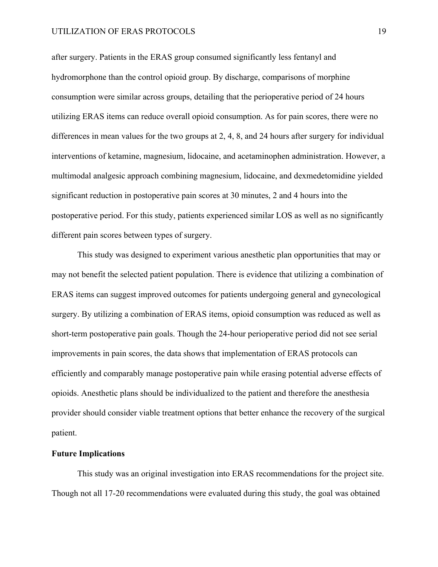after surgery. Patients in the ERAS group consumed significantly less fentanyl and hydromorphone than the control opioid group. By discharge, comparisons of morphine consumption were similar across groups, detailing that the perioperative period of 24 hours utilizing ERAS items can reduce overall opioid consumption. As for pain scores, there were no differences in mean values for the two groups at 2, 4, 8, and 24 hours after surgery for individual interventions of ketamine, magnesium, lidocaine, and acetaminophen administration. However, a multimodal analgesic approach combining magnesium, lidocaine, and dexmedetomidine yielded significant reduction in postoperative pain scores at 30 minutes, 2 and 4 hours into the postoperative period. For this study, patients experienced similar LOS as well as no significantly different pain scores between types of surgery.

This study was designed to experiment various anesthetic plan opportunities that may or may not benefit the selected patient population. There is evidence that utilizing a combination of ERAS items can suggest improved outcomes for patients undergoing general and gynecological surgery. By utilizing a combination of ERAS items, opioid consumption was reduced as well as short-term postoperative pain goals. Though the 24-hour perioperative period did not see serial improvements in pain scores, the data shows that implementation of ERAS protocols can efficiently and comparably manage postoperative pain while erasing potential adverse effects of opioids. Anesthetic plans should be individualized to the patient and therefore the anesthesia provider should consider viable treatment options that better enhance the recovery of the surgical patient.

#### **Future Implications**

This study was an original investigation into ERAS recommendations for the project site. Though not all 17-20 recommendations were evaluated during this study, the goal was obtained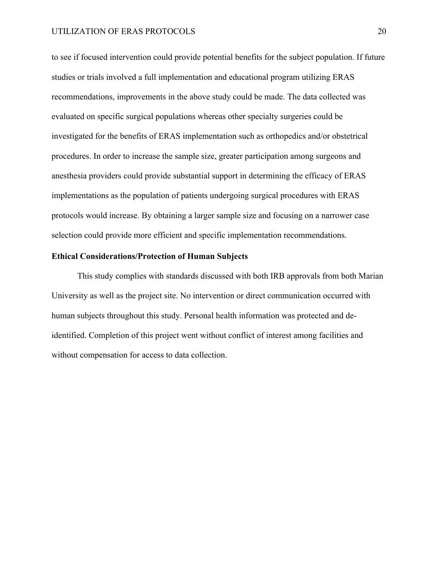to see if focused intervention could provide potential benefits for the subject population. If future studies or trials involved a full implementation and educational program utilizing ERAS recommendations, improvements in the above study could be made. The data collected was evaluated on specific surgical populations whereas other specialty surgeries could be investigated for the benefits of ERAS implementation such as orthopedics and/or obstetrical procedures. In order to increase the sample size, greater participation among surgeons and anesthesia providers could provide substantial support in determining the efficacy of ERAS implementations as the population of patients undergoing surgical procedures with ERAS protocols would increase. By obtaining a larger sample size and focusing on a narrower case selection could provide more efficient and specific implementation recommendations.

### **Ethical Considerations/Protection of Human Subjects**

This study complies with standards discussed with both IRB approvals from both Marian University as well as the project site. No intervention or direct communication occurred with human subjects throughout this study. Personal health information was protected and deidentified. Completion of this project went without conflict of interest among facilities and without compensation for access to data collection.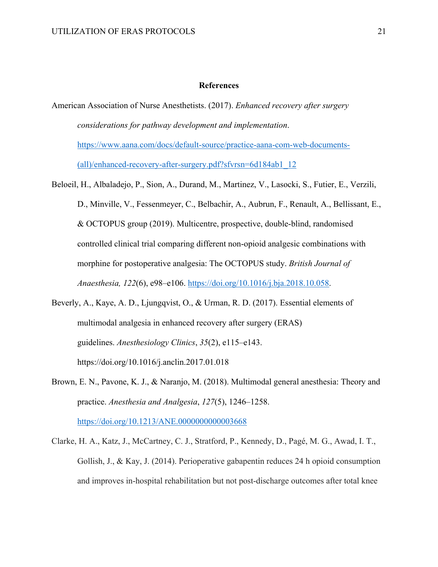#### **References**

- American Association of Nurse Anesthetists. (2017). *Enhanced recovery after surgery considerations for pathway development and implementation*. https://www.aana.com/docs/default-source/practice-aana-com-web-documents- (all)/enhanced-recovery-after-surgery.pdf?sfvrsn=6d184ab1\_12
- Beloeil, H., Albaladejo, P., Sion, A., Durand, M., Martinez, V., Lasocki, S., Futier, E., Verzili, D., Minville, V., Fessenmeyer, C., Belbachir, A., Aubrun, F., Renault, A., Bellissant, E., & OCTOPUS group (2019). Multicentre, prospective, double-blind, randomised controlled clinical trial comparing different non-opioid analgesic combinations with morphine for postoperative analgesia: The OCTOPUS study. *British Journal of Anaesthesia, 122*(6), e98–e106. https://doi.org/10.1016/j.bja.2018.10.058.
- Beverly, A., Kaye, A. D., Ljungqvist, O., & Urman, R. D. (2017). Essential elements of multimodal analgesia in enhanced recovery after surgery (ERAS) guidelines. *Anesthesiology Clinics*, *35*(2), e115–e143. https://doi.org/10.1016/j.anclin.2017.01.018
- Brown, E. N., Pavone, K. J., & Naranjo, M. (2018). Multimodal general anesthesia: Theory and practice. *Anesthesia and Analgesia*, *127*(5), 1246–1258.

https://doi.org/10.1213/ANE.00000000000003668

Clarke, H. A., Katz, J., McCartney, C. J., Stratford, P., Kennedy, D., Pagé, M. G., Awad, I. T., Gollish, J., & Kay, J. (2014). Perioperative gabapentin reduces 24 h opioid consumption and improves in-hospital rehabilitation but not post-discharge outcomes after total knee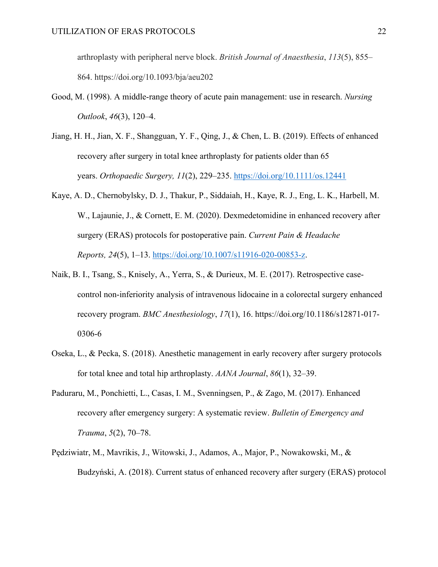arthroplasty with peripheral nerve block. *British Journal of Anaesthesia*, *113*(5), 855– 864. https://doi.org/10.1093/bja/aeu202

- Good, M. (1998). A middle-range theory of acute pain management: use in research. *Nursing Outlook*, *46*(3), 120–4.
- Jiang, H. H., Jian, X. F., Shangguan, Y. F., Qing, J., & Chen, L. B. (2019). Effects of enhanced recovery after surgery in total knee arthroplasty for patients older than 65 years. *Orthopaedic Surgery, 11*(2), 229–235. https://doi.org/10.1111/os.12441
- Kaye, A. D., Chernobylsky, D. J., Thakur, P., Siddaiah, H., Kaye, R. J., Eng, L. K., Harbell, M. W., Lajaunie, J., & Cornett, E. M. (2020). Dexmedetomidine in enhanced recovery after surgery (ERAS) protocols for postoperative pain. *Current Pain & Headache Reports, 24*(5), 1–13. https://doi.org/10.1007/s11916-020-00853-z.
- Naik, B. I., Tsang, S., Knisely, A., Yerra, S., & Durieux, M. E. (2017). Retrospective casecontrol non-inferiority analysis of intravenous lidocaine in a colorectal surgery enhanced recovery program. *BMC Anesthesiology*, *17*(1), 16. https://doi.org/10.1186/s12871-017- 0306-6
- Oseka, L., & Pecka, S. (2018). Anesthetic management in early recovery after surgery protocols for total knee and total hip arthroplasty. *AANA Journal*, *86*(1), 32–39.
- Paduraru, M., Ponchietti, L., Casas, I. M., Svenningsen, P., & Zago, M. (2017). Enhanced recovery after emergency surgery: A systematic review. *Bulletin of Emergency and Trauma*, *5*(2), 70–78.
- Pędziwiatr, M., Mavrikis, J., Witowski, J., Adamos, A., Major, P., Nowakowski, M., & Budzyński, A. (2018). Current status of enhanced recovery after surgery (ERAS) protocol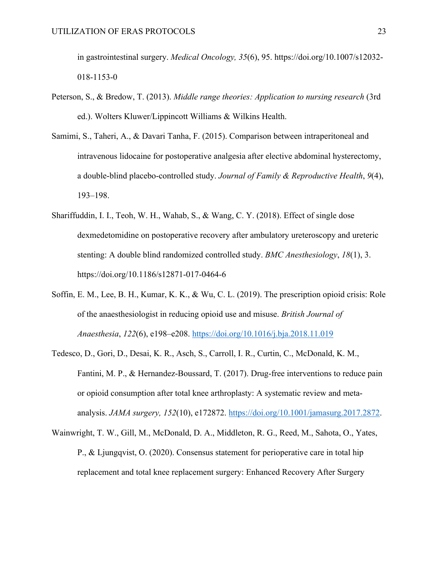in gastrointestinal surgery. *Medical Oncology, 35*(6), 95. https://doi.org/10.1007/s12032- 018-1153-0

- Peterson, S., & Bredow, T. (2013). *Middle range theories: Application to nursing research* (3rd ed.). Wolters Kluwer/Lippincott Williams & Wilkins Health.
- Samimi, S., Taheri, A., & Davari Tanha, F. (2015). Comparison between intraperitoneal and intravenous lidocaine for postoperative analgesia after elective abdominal hysterectomy, a double-blind placebo-controlled study. *Journal of Family & Reproductive Health*, *9*(4), 193–198.
- Shariffuddin, I. I., Teoh, W. H., Wahab, S., & Wang, C. Y. (2018). Effect of single dose dexmedetomidine on postoperative recovery after ambulatory ureteroscopy and ureteric stenting: A double blind randomized controlled study. *BMC Anesthesiology*, *18*(1), 3. https://doi.org/10.1186/s12871-017-0464-6
- Soffin, E. M., Lee, B. H., Kumar, K. K., & Wu, C. L. (2019). The prescription opioid crisis: Role of the anaesthesiologist in reducing opioid use and misuse. *British Journal of Anaesthesia*, *122*(6), e198–e208. https://doi.org/10.1016/j.bja.2018.11.019
- Tedesco, D., Gori, D., Desai, K. R., Asch, S., Carroll, I. R., Curtin, C., McDonald, K. M., Fantini, M. P., & Hernandez-Boussard, T. (2017). Drug-free interventions to reduce pain or opioid consumption after total knee arthroplasty: A systematic review and metaanalysis. *JAMA surgery, 152*(10), e172872. https://doi.org/10.1001/jamasurg.2017.2872.
- Wainwright, T. W., Gill, M., McDonald, D. A., Middleton, R. G., Reed, M., Sahota, O., Yates, P., & Ljungqvist, O. (2020). Consensus statement for perioperative care in total hip replacement and total knee replacement surgery: Enhanced Recovery After Surgery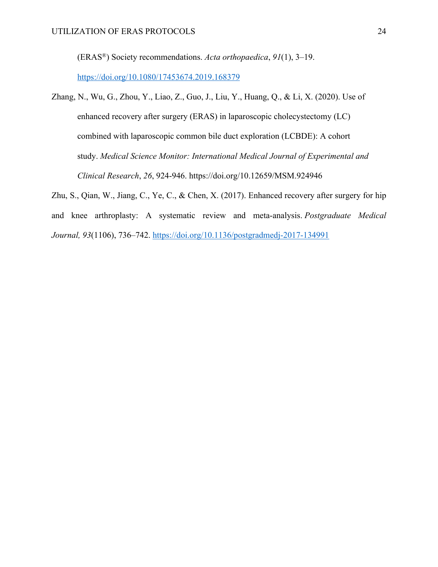(ERAS®) Society recommendations. *Acta orthopaedica*, *91*(1), 3–19.

https://doi.org/10.1080/17453674.2019.168379

Zhang, N., Wu, G., Zhou, Y., Liao, Z., Guo, J., Liu, Y., Huang, Q., & Li, X. (2020). Use of enhanced recovery after surgery (ERAS) in laparoscopic cholecystectomy (LC) combined with laparoscopic common bile duct exploration (LCBDE): A cohort study. *Medical Science Monitor: International Medical Journal of Experimental and Clinical Research*, *26*, 924-946. https://doi.org/10.12659/MSM.924946

Zhu, S., Qian, W., Jiang, C., Ye, C., & Chen, X. (2017). Enhanced recovery after surgery for hip and knee arthroplasty: A systematic review and meta-analysis. *Postgraduate Medical Journal, 93*(1106), 736–742. https://doi.org/10.1136/postgradmedj-2017-134991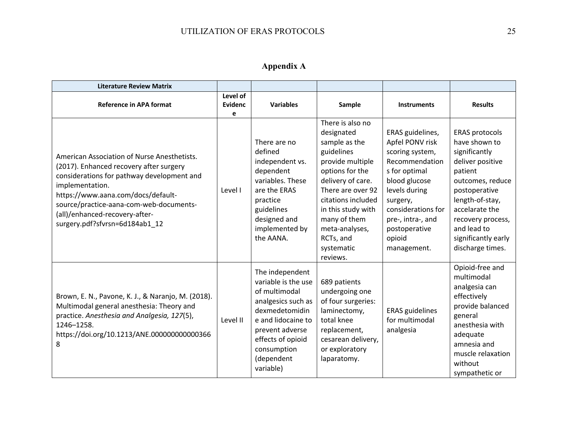**Appendix A**

| <b>Literature Review Matrix</b>                                                                                                                                                                                                                                                                              |                                 |                                                                                                                                                                                                         |                                                                                                                                                                                                                                                                     |                                                                                                                                                                                                                              |                                                                                                                                                                                                                                                 |
|--------------------------------------------------------------------------------------------------------------------------------------------------------------------------------------------------------------------------------------------------------------------------------------------------------------|---------------------------------|---------------------------------------------------------------------------------------------------------------------------------------------------------------------------------------------------------|---------------------------------------------------------------------------------------------------------------------------------------------------------------------------------------------------------------------------------------------------------------------|------------------------------------------------------------------------------------------------------------------------------------------------------------------------------------------------------------------------------|-------------------------------------------------------------------------------------------------------------------------------------------------------------------------------------------------------------------------------------------------|
| <b>Reference in APA format</b>                                                                                                                                                                                                                                                                               | Level of<br><b>Evidenc</b><br>e | <b>Variables</b>                                                                                                                                                                                        | Sample                                                                                                                                                                                                                                                              | <b>Instruments</b>                                                                                                                                                                                                           | <b>Results</b>                                                                                                                                                                                                                                  |
| American Association of Nurse Anesthetists.<br>(2017). Enhanced recovery after surgery<br>considerations for pathway development and<br>implementation.<br>https://www.aana.com/docs/default-<br>source/practice-aana-com-web-documents-<br>(all)/enhanced-recovery-after-<br>surgery.pdf?sfvrsn=6d184ab1 12 | Level I                         | There are no<br>defined<br>independent vs.<br>dependent<br>variables. These<br>are the ERAS<br>practice<br>guidelines<br>designed and<br>implemented by<br>the AANA.                                    | There is also no<br>designated<br>sample as the<br>guidelines<br>provide multiple<br>options for the<br>delivery of care.<br>There are over 92<br>citations included<br>in this study with<br>many of them<br>meta-analyses,<br>RCTs, and<br>systematic<br>reviews. | ERAS guidelines,<br>Apfel PONV risk<br>scoring system,<br>Recommendation<br>s for optimal<br>blood glucose<br>levels during<br>surgery,<br>considerations for<br>pre-, intra-, and<br>postoperative<br>opioid<br>management. | <b>ERAS protocols</b><br>have shown to<br>significantly<br>deliver positive<br>patient<br>outcomes, reduce<br>postoperative<br>length-of-stay,<br>accelarate the<br>recovery process,<br>and lead to<br>significantly early<br>discharge times. |
| Brown, E. N., Pavone, K. J., & Naranjo, M. (2018).<br>Multimodal general anesthesia: Theory and<br>practice. Anesthesia and Analgesia, 127(5),<br>1246-1258.<br>https://doi.org/10.1213/ANE.000000000000366<br>8                                                                                             | Level II                        | The independent<br>variable is the use<br>of multimodal<br>analgesics such as<br>dexmedetomidin<br>e and lidocaine to<br>prevent adverse<br>effects of opioid<br>consumption<br>(dependent<br>variable) | 689 patients<br>undergoing one<br>of four surgeries:<br>laminectomy,<br>total knee<br>replacement,<br>cesarean delivery,<br>or exploratory<br>laparatomy.                                                                                                           | <b>ERAS</b> guidelines<br>for multimodal<br>analgesia                                                                                                                                                                        | Opioid-free and<br>multimodal<br>analgesia can<br>effectively<br>provide balanced<br>general<br>anesthesia with<br>adequate<br>amnesia and<br>muscle relaxation<br>without<br>sympathetic or                                                    |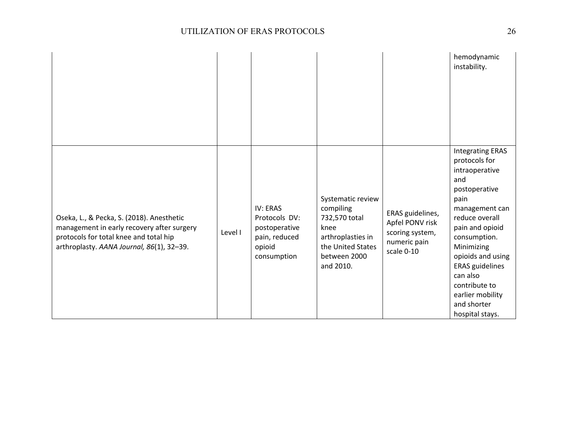|                                                                                                                                                                                |         |                                                                                             |                                                                                                                                |                                                                                      | hemodynamic<br>instability.                                                                                                                                                                                                                                                                                       |
|--------------------------------------------------------------------------------------------------------------------------------------------------------------------------------|---------|---------------------------------------------------------------------------------------------|--------------------------------------------------------------------------------------------------------------------------------|--------------------------------------------------------------------------------------|-------------------------------------------------------------------------------------------------------------------------------------------------------------------------------------------------------------------------------------------------------------------------------------------------------------------|
| Oseka, L., & Pecka, S. (2018). Anesthetic<br>management in early recovery after surgery<br>protocols for total knee and total hip<br>arthroplasty. AANA Journal, 86(1), 32-39. | Level I | <b>IV: ERAS</b><br>Protocols DV:<br>postoperative<br>pain, reduced<br>opioid<br>consumption | Systematic review<br>compiling<br>732,570 total<br>knee<br>arthroplasties in<br>the United States<br>between 2000<br>and 2010. | ERAS guidelines,<br>Apfel PONV risk<br>scoring system,<br>numeric pain<br>scale 0-10 | <b>Integrating ERAS</b><br>protocols for<br>intraoperative<br>and<br>postoperative<br>pain<br>management can<br>reduce overall<br>pain and opioid<br>consumption.<br>Minimizing<br>opioids and using<br><b>ERAS</b> guidelines<br>can also<br>contribute to<br>earlier mobility<br>and shorter<br>hospital stays. |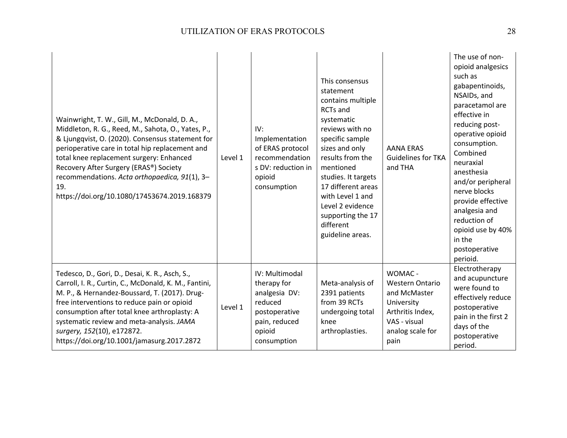| Wainwright, T. W., Gill, M., McDonald, D. A.,<br>Middleton, R. G., Reed, M., Sahota, O., Yates, P.,<br>& Ljungqvist, O. (2020). Consensus statement for<br>perioperative care in total hip replacement and<br>total knee replacement surgery: Enhanced<br>Recovery After Surgery (ERAS®) Society<br>recommendations. Acta orthopaedica, 91(1), 3-<br>19.<br>https://doi.org/10.1080/17453674.2019.168379 | Level 1 | IV:<br>Implementation<br>of ERAS protocol<br>recommendation<br>s DV: reduction in<br>opioid<br>consumption           | This consensus<br>statement<br>contains multiple<br><b>RCTs</b> and<br>systematic<br>reviews with no<br>specific sample<br>sizes and only<br>results from the<br>mentioned<br>studies. It targets<br>17 different areas<br>with Level 1 and<br>Level 2 evidence<br>supporting the 17<br>different<br>guideline areas. | <b>AANA ERAS</b><br><b>Guidelines for TKA</b><br>and THA                                                                        | The use of non-<br>opioid analgesics<br>such as<br>gabapentinoids,<br>NSAIDs, and<br>paracetamol are<br>effective in<br>reducing post-<br>operative opioid<br>consumption.<br>Combined<br>neuraxial<br>anesthesia<br>and/or peripheral<br>nerve blocks<br>provide effective<br>analgesia and<br>reduction of<br>opioid use by 40%<br>in the<br>postoperative<br>perioid. |
|----------------------------------------------------------------------------------------------------------------------------------------------------------------------------------------------------------------------------------------------------------------------------------------------------------------------------------------------------------------------------------------------------------|---------|----------------------------------------------------------------------------------------------------------------------|-----------------------------------------------------------------------------------------------------------------------------------------------------------------------------------------------------------------------------------------------------------------------------------------------------------------------|---------------------------------------------------------------------------------------------------------------------------------|--------------------------------------------------------------------------------------------------------------------------------------------------------------------------------------------------------------------------------------------------------------------------------------------------------------------------------------------------------------------------|
| Tedesco, D., Gori, D., Desai, K. R., Asch, S.,<br>Carroll, I. R., Curtin, C., McDonald, K. M., Fantini,<br>M. P., & Hernandez-Boussard, T. (2017). Drug-<br>free interventions to reduce pain or opioid<br>consumption after total knee arthroplasty: A<br>systematic review and meta-analysis. JAMA<br>surgery, 152(10), e172872.<br>https://doi.org/10.1001/jamasurg.2017.2872                         | Level 1 | IV: Multimodal<br>therapy for<br>analgesia DV:<br>reduced<br>postoperative<br>pain, reduced<br>opioid<br>consumption | Meta-analysis of<br>2391 patients<br>from 39 RCTs<br>undergoing total<br>knee<br>arthroplasties.                                                                                                                                                                                                                      | WOMAC -<br><b>Western Ontario</b><br>and McMaster<br>University<br>Arthritis Index,<br>VAS - visual<br>analog scale for<br>pain | Electrotherapy<br>and acupuncture<br>were found to<br>effectively reduce<br>postoperative<br>pain in the first 2<br>days of the<br>postoperative<br>period.                                                                                                                                                                                                              |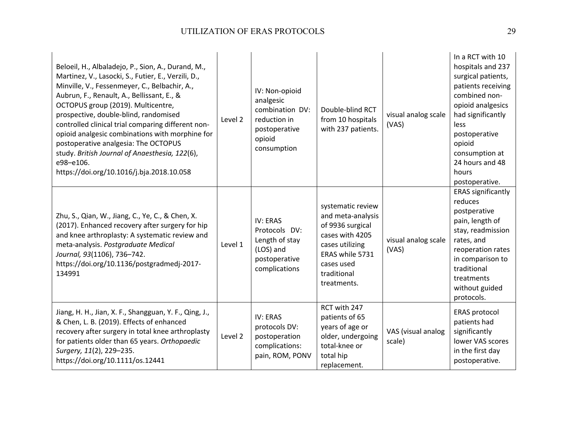| Beloeil, H., Albaladejo, P., Sion, A., Durand, M.,<br>Martinez, V., Lasocki, S., Futier, E., Verzili, D.,<br>Minville, V., Fessenmeyer, C., Belbachir, A.,<br>Aubrun, F., Renault, A., Bellissant, E., &<br>OCTOPUS group (2019). Multicentre,<br>prospective, double-blind, randomised<br>controlled clinical trial comparing different non-<br>opioid analgesic combinations with morphine for<br>postoperative analgesia: The OCTOPUS<br>study. British Journal of Anaesthesia, 122(6),<br>e98-e106.<br>https://doi.org/10.1016/j.bja.2018.10.058 | Level 2 | IV: Non-opioid<br>analgesic<br>combination DV:<br>reduction in<br>postoperative<br>opioid<br>consumption | Double-blind RCT<br>from 10 hospitals<br>with 237 patients.                                                                                                     | visual analog scale<br>(VAS) | In a RCT with 10<br>hospitals and 237<br>surgical patients,<br>patients receiving<br>combined non-<br>opioid analgesics<br>had significantly<br>less<br>postoperative<br>opioid<br>consumption at<br>24 hours and 48<br>hours<br>postoperative. |
|------------------------------------------------------------------------------------------------------------------------------------------------------------------------------------------------------------------------------------------------------------------------------------------------------------------------------------------------------------------------------------------------------------------------------------------------------------------------------------------------------------------------------------------------------|---------|----------------------------------------------------------------------------------------------------------|-----------------------------------------------------------------------------------------------------------------------------------------------------------------|------------------------------|-------------------------------------------------------------------------------------------------------------------------------------------------------------------------------------------------------------------------------------------------|
| Zhu, S., Qian, W., Jiang, C., Ye, C., & Chen, X.<br>(2017). Enhanced recovery after surgery for hip<br>and knee arthroplasty: A systematic review and<br>meta-analysis. Postgraduate Medical<br>Journal, 93(1106), 736-742.<br>https://doi.org/10.1136/postgradmedj-2017-<br>134991                                                                                                                                                                                                                                                                  | Level 1 | IV: ERAS<br>Protocols DV:<br>Length of stay<br>(LOS) and<br>postoperative<br>complications               | systematic review<br>and meta-analysis<br>of 9936 surgical<br>cases with 4205<br>cases utilizing<br>ERAS while 5731<br>cases used<br>traditional<br>treatments. | visual analog scale<br>(VAS) | <b>ERAS significantly</b><br>reduces<br>postperative<br>pain, length of<br>stay, readmission<br>rates, and<br>reoperation rates<br>in comparison to<br>traditional<br>treatments<br>without guided<br>protocols.                                |
| Jiang, H. H., Jian, X. F., Shangguan, Y. F., Qing, J.,<br>& Chen, L. B. (2019). Effects of enhanced<br>recovery after surgery in total knee arthroplasty<br>for patients older than 65 years. Orthopaedic<br>Surgery, 11(2), 229-235.<br>https://doi.org/10.1111/os.12441                                                                                                                                                                                                                                                                            | Level 2 | IV: ERAS<br>protocols DV:<br>postoperation<br>complications:<br>pain, ROM, PONV                          | RCT with 247<br>patients of 65<br>years of age or<br>older, undergoing<br>total-knee or<br>total hip<br>replacement.                                            | VAS (visual analog<br>scale) | <b>ERAS protocol</b><br>patients had<br>significantly<br>lower VAS scores<br>in the first day<br>postoperative.                                                                                                                                 |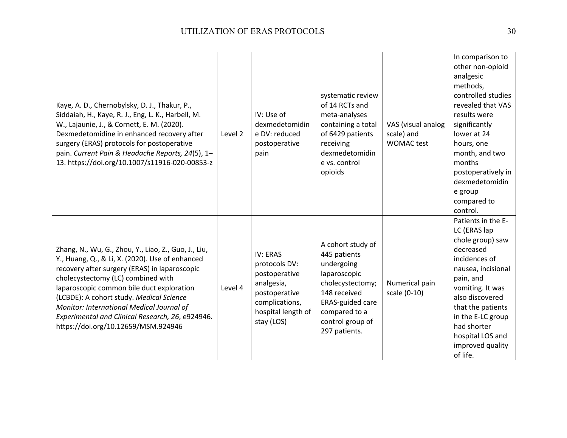| Kaye, A. D., Chernobylsky, D. J., Thakur, P.,<br>Siddaiah, H., Kaye, R. J., Eng, L. K., Harbell, M.<br>W., Lajaunie, J., & Cornett, E. M. (2020).<br>Dexmedetomidine in enhanced recovery after<br>surgery (ERAS) protocols for postoperative<br>pain. Current Pain & Headache Reports, 24(5), 1-<br>13. https://doi.org/10.1007/s11916-020-00853-z                                                                             | Level 2 | IV: Use of<br>dexmedetomidin<br>e DV: reduced<br>postoperative<br>pain                                                          | systematic review<br>of 14 RCTs and<br>meta-analyses<br>containing a total<br>of 6429 patients<br>receiving<br>dexmedetomidin<br>e vs. control<br>opioids                            | VAS (visual analog<br>scale) and<br><b>WOMAC</b> test | In comparison to<br>other non-opioid<br>analgesic<br>methods,<br>controlled studies<br>revealed that VAS<br>results were<br>significantly<br>lower at 24<br>hours, one<br>month, and two<br>months<br>postoperatively in<br>dexmedetomidin<br>e group<br>compared to<br>control. |
|---------------------------------------------------------------------------------------------------------------------------------------------------------------------------------------------------------------------------------------------------------------------------------------------------------------------------------------------------------------------------------------------------------------------------------|---------|---------------------------------------------------------------------------------------------------------------------------------|--------------------------------------------------------------------------------------------------------------------------------------------------------------------------------------|-------------------------------------------------------|----------------------------------------------------------------------------------------------------------------------------------------------------------------------------------------------------------------------------------------------------------------------------------|
| Zhang, N., Wu, G., Zhou, Y., Liao, Z., Guo, J., Liu,<br>Y., Huang, Q., & Li, X. (2020). Use of enhanced<br>recovery after surgery (ERAS) in laparoscopic<br>cholecystectomy (LC) combined with<br>laparoscopic common bile duct exploration<br>(LCBDE): A cohort study. Medical Science<br>Monitor: International Medical Journal of<br>Experimental and Clinical Research, 26, e924946.<br>https://doi.org/10.12659/MSM.924946 | Level 4 | IV: ERAS<br>protocols DV:<br>postoperative<br>analgesia,<br>postoperative<br>complications,<br>hospital length of<br>stay (LOS) | A cohort study of<br>445 patients<br>undergoing<br>laparoscopic<br>cholecystectomy;<br>148 received<br><b>ERAS-guided care</b><br>compared to a<br>control group of<br>297 patients. | Numerical pain<br>scale (0-10)                        | Patients in the E-<br>LC (ERAS lap<br>chole group) saw<br>decreased<br>incidences of<br>nausea, incisional<br>pain, and<br>vomiting. It was<br>also discovered<br>that the patients<br>in the E-LC group<br>had shorter<br>hospital LOS and<br>improved quality<br>of life.      |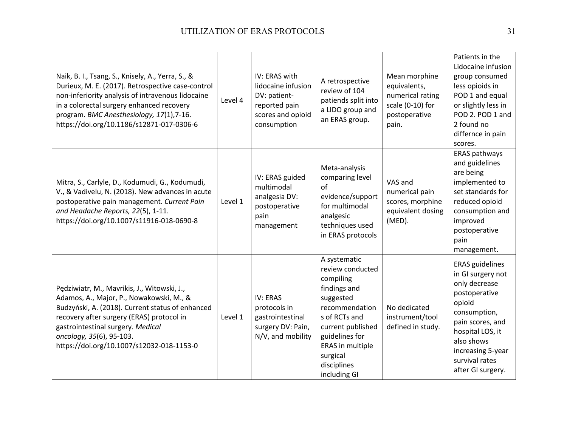| Naik, B. I., Tsang, S., Knisely, A., Yerra, S., &<br>Durieux, M. E. (2017). Retrospective case-control<br>non-inferiority analysis of intravenous lidocaine<br>in a colorectal surgery enhanced recovery<br>program. BMC Anesthesiology, 17(1),7-16.<br>https://doi.org/10.1186/s12871-017-0306-6      | Level 4 | IV: ERAS with<br>lidocaine infusion<br>DV: patient-<br>reported pain<br>scores and opioid<br>consumption | A retrospective<br>review of 104<br>patiends split into<br>a LIDO group and<br>an ERAS group.                                                                                                                       | Mean morphine<br>equivalents,<br>numerical rating<br>scale (0-10) for<br>postoperative<br>pain. | Patients in the<br>Lidocaine infusion<br>group consumed<br>less opioids in<br>POD 1 and equal<br>or slightly less in<br>POD 2. POD 1 and<br>2 found no<br>differnce in pain<br>scores.                                    |
|--------------------------------------------------------------------------------------------------------------------------------------------------------------------------------------------------------------------------------------------------------------------------------------------------------|---------|----------------------------------------------------------------------------------------------------------|---------------------------------------------------------------------------------------------------------------------------------------------------------------------------------------------------------------------|-------------------------------------------------------------------------------------------------|---------------------------------------------------------------------------------------------------------------------------------------------------------------------------------------------------------------------------|
| Mitra, S., Carlyle, D., Kodumudi, G., Kodumudi,<br>V., & Vadivelu, N. (2018). New advances in acute<br>postoperative pain management. Current Pain<br>and Headache Reports, 22(5), 1-11.<br>https://doi.org/10.1007/s11916-018-0690-8                                                                  | Level 1 | IV: ERAS guided<br>multimodal<br>analgesia DV:<br>postoperative<br>pain<br>management                    | Meta-analysis<br>comparing level<br>of<br>evidence/support<br>for multimodal<br>analgesic<br>techniques used<br>in ERAS protocols                                                                                   | VAS and<br>numerical pain<br>scores, morphine<br>equivalent dosing<br>(MED).                    | ERAS pathways<br>and guidelines<br>are being<br>implemented to<br>set standards for<br>reduced opioid<br>consumption and<br>improved<br>postoperative<br>pain<br>management.                                              |
| Pędziwiatr, M., Mavrikis, J., Witowski, J.,<br>Adamos, A., Major, P., Nowakowski, M., &<br>Budzyński, A. (2018). Current status of enhanced<br>recovery after surgery (ERAS) protocol in<br>gastrointestinal surgery. Medical<br>oncology, 35(6), 95-103.<br>https://doi.org/10.1007/s12032-018-1153-0 | Level 1 | IV: ERAS<br>protocols in<br>gastrointestinal<br>surgery DV: Pain,<br>N/V, and mobility                   | A systematic<br>review conducted<br>compiling<br>findings and<br>suggested<br>recommendation<br>s of RCTs and<br>current published<br>guidelines for<br>ERAS in multiple<br>surgical<br>disciplines<br>including GI | No dedicated<br>instrument/tool<br>defined in study.                                            | <b>ERAS</b> guidelines<br>in GI surgery not<br>only decrease<br>postoperative<br>opioid<br>consumption,<br>pain scores, and<br>hospital LOS, it<br>also shows<br>increasing 5-year<br>survival rates<br>after GI surgery. |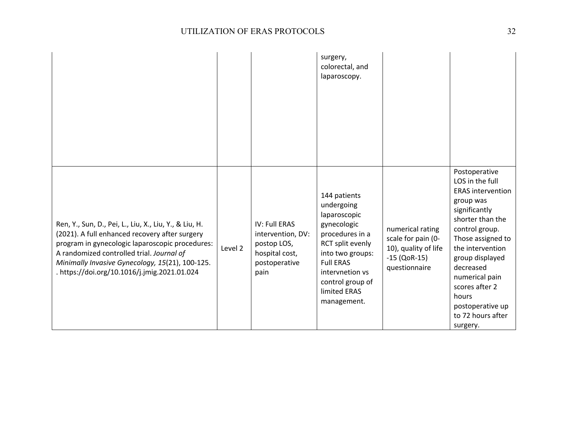|                                                                                                                                                                                                                                                                                                             |         |                                                                                                     | surgery,<br>colorectal, and<br>laparoscopy.                                                                                                                                                                    |                                                                                                   |                                                                                                                                                                                                                                                                                                             |
|-------------------------------------------------------------------------------------------------------------------------------------------------------------------------------------------------------------------------------------------------------------------------------------------------------------|---------|-----------------------------------------------------------------------------------------------------|----------------------------------------------------------------------------------------------------------------------------------------------------------------------------------------------------------------|---------------------------------------------------------------------------------------------------|-------------------------------------------------------------------------------------------------------------------------------------------------------------------------------------------------------------------------------------------------------------------------------------------------------------|
| Ren, Y., Sun, D., Pei, L., Liu, X., Liu, Y., & Liu, H.<br>(2021). A full enhanced recovery after surgery<br>program in gynecologic laparoscopic procedures:<br>A randomized controlled trial. Journal of<br>Minimally Invasive Gynecology, 15(21), 100-125.<br>. https://doi.org/10.1016/j.jmig.2021.01.024 | Level 2 | <b>IV: Full ERAS</b><br>intervention, DV:<br>postop LOS,<br>hospital cost,<br>postoperative<br>pain | 144 patients<br>undergoing<br>laparoscopic<br>gynecologic<br>procedures in a<br>RCT split evenly<br>into two groups:<br><b>Full ERAS</b><br>intervnetion vs<br>control group of<br>limited ERAS<br>management. | numerical rating<br>scale for pain (0-<br>10), quality of life<br>$-15$ (QoR-15)<br>questionnaire | Postoperative<br>LOS in the full<br><b>ERAS</b> intervention<br>group was<br>significantly<br>shorter than the<br>control group.<br>Those assigned to<br>the intervention<br>group displayed<br>decreased<br>numerical pain<br>scores after 2<br>hours<br>postoperative up<br>to 72 hours after<br>surgery. |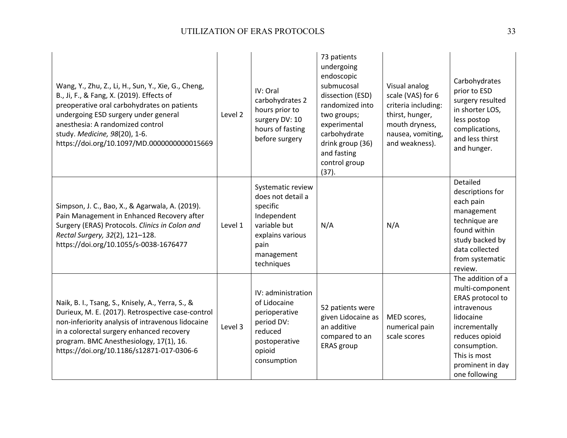| Wang, Y., Zhu, Z., Li, H., Sun, Y., Xie, G., Cheng,<br>B., Ji, F., & Fang, X. (2019). Effects of<br>preoperative oral carbohydrates on patients<br>undergoing ESD surgery under general<br>anesthesia: A randomized control<br>study. Medicine, 98(20), 1-6.<br>https://doi.org/10.1097/MD.0000000000015669 | Level 2 | IV: Oral<br>carbohydrates 2<br>hours prior to<br>surgery DV: 10<br>hours of fasting<br>before surgery                                     | 73 patients<br>undergoing<br>endoscopic<br>submucosal<br>dissection (ESD)<br>randomized into<br>two groups;<br>experimental<br>carbohydrate<br>drink group (36)<br>and fasting<br>control group<br>(37). | Visual analog<br>scale (VAS) for 6<br>criteria including:<br>thirst, hunger,<br>mouth dryness,<br>nausea, vomiting,<br>and weakness). | Carbohydrates<br>prior to ESD<br>surgery resulted<br>in shorter LOS,<br>less postop<br>complications,<br>and less thirst<br>and hunger.                                                      |
|-------------------------------------------------------------------------------------------------------------------------------------------------------------------------------------------------------------------------------------------------------------------------------------------------------------|---------|-------------------------------------------------------------------------------------------------------------------------------------------|----------------------------------------------------------------------------------------------------------------------------------------------------------------------------------------------------------|---------------------------------------------------------------------------------------------------------------------------------------|----------------------------------------------------------------------------------------------------------------------------------------------------------------------------------------------|
| Simpson, J. C., Bao, X., & Agarwala, A. (2019).<br>Pain Management in Enhanced Recovery after<br>Surgery (ERAS) Protocols. Clinics in Colon and<br>Rectal Surgery, 32(2), 121-128.<br>https://doi.org/10.1055/s-0038-1676477                                                                                | Level 1 | Systematic review<br>does not detail a<br>specific<br>Independent<br>variable but<br>explains various<br>pain<br>management<br>techniques | N/A                                                                                                                                                                                                      | N/A                                                                                                                                   | Detailed<br>descriptions for<br>each pain<br>management<br>technique are<br>found within<br>study backed by<br>data collected<br>from systematic<br>review.                                  |
| Naik, B. I., Tsang, S., Knisely, A., Yerra, S., &<br>Durieux, M. E. (2017). Retrospective case-control<br>non-inferiority analysis of intravenous lidocaine<br>in a colorectal surgery enhanced recovery<br>program. BMC Anesthesiology, 17(1), 16.<br>https://doi.org/10.1186/s12871-017-0306-6            | Level 3 | IV: administration<br>of Lidocaine<br>perioperative<br>period DV:<br>reduced<br>postoperative<br>opioid<br>consumption                    | 52 patients were<br>given Lidocaine as<br>an additive<br>compared to an<br><b>ERAS</b> group                                                                                                             | MED scores,<br>numerical pain<br>scale scores                                                                                         | The addition of a<br>multi-component<br>ERAS protocol to<br>intravenous<br>lidocaine<br>incrementally<br>reduces opioid<br>consumption.<br>This is most<br>prominent in day<br>one following |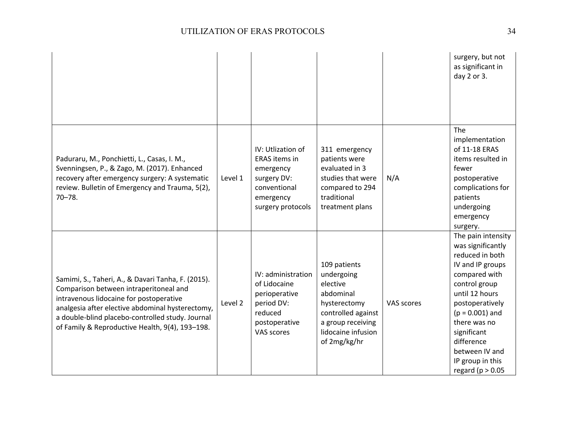|                                                                                                                                                                                                                                                                                                    |         |                                                                                                                         |                                                                                                                                                      |            | surgery, but not<br>as significant in<br>day 2 or 3.                                                                                                                                                                                                                                 |
|----------------------------------------------------------------------------------------------------------------------------------------------------------------------------------------------------------------------------------------------------------------------------------------------------|---------|-------------------------------------------------------------------------------------------------------------------------|------------------------------------------------------------------------------------------------------------------------------------------------------|------------|--------------------------------------------------------------------------------------------------------------------------------------------------------------------------------------------------------------------------------------------------------------------------------------|
| Paduraru, M., Ponchietti, L., Casas, I. M.,<br>Svenningsen, P., & Zago, M. (2017). Enhanced<br>recovery after emergency surgery: A systematic<br>review. Bulletin of Emergency and Trauma, 5(2),<br>$70 - 78.$                                                                                     | Level 1 | IV: Utlization of<br><b>ERAS</b> items in<br>emergency<br>surgery DV:<br>conventional<br>emergency<br>surgery protocols | 311 emergency<br>patients were<br>evaluated in 3<br>studies that were<br>compared to 294<br>traditional<br>treatment plans                           | N/A        | The<br>implementation<br>of 11-18 ERAS<br>items resulted in<br>fewer<br>postoperative<br>complications for<br>patients<br>undergoing<br>emergency<br>surgery.                                                                                                                        |
| Samimi, S., Taheri, A., & Davari Tanha, F. (2015).<br>Comparison between intraperitoneal and<br>intravenous lidocaine for postoperative<br>analgesia after elective abdominal hysterectomy,<br>a double-blind placebo-controlled study. Journal<br>of Family & Reproductive Health, 9(4), 193-198. | Level 2 | IV: administration<br>of Lidocaine<br>perioperative<br>period DV:<br>reduced<br>postoperative<br>VAS scores             | 109 patients<br>undergoing<br>elective<br>abdominal<br>hysterectomy<br>controlled against<br>a group receiving<br>lidocaine infusion<br>of 2mg/kg/hr | VAS scores | The pain intensity<br>was significantly<br>reduced in both<br>IV and IP groups<br>compared with<br>control group<br>until 12 hours<br>postoperatively<br>$(p = 0.001)$ and<br>there was no<br>significant<br>difference<br>between IV and<br>IP group in this<br>regard ( $p > 0.05$ |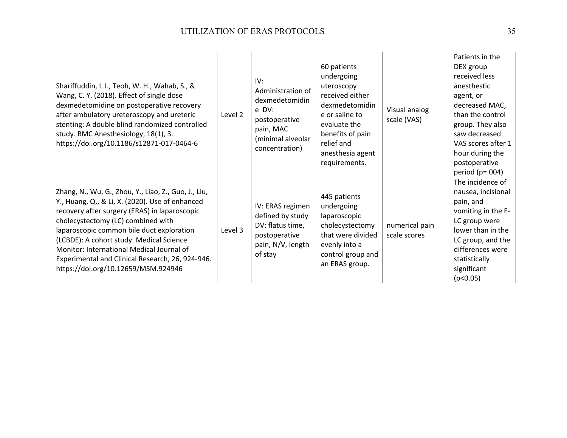| Shariffuddin, I. I., Teoh, W. H., Wahab, S., &<br>Wang, C. Y. (2018). Effect of single dose<br>dexmedetomidine on postoperative recovery<br>after ambulatory ureteroscopy and ureteric<br>stenting: A double blind randomized controlled<br>study. BMC Anesthesiology, 18(1), 3.<br>https://doi.org/10.1186/s12871-017-0464-6                                                                                                   | Level 2 | IV:<br>Administration of<br>dexmedetomidin<br>e DV:<br>postoperative<br>pain, MAC<br>(minimal alveolar<br>concentration) | 60 patients<br>undergoing<br>uteroscopy<br>received either<br>dexmedetomidin<br>e or saline to<br>evaluate the<br>benefits of pain<br>relief and<br>anesthesia agent<br>requirements. | Visual analog<br>scale (VAS)   | Patients in the<br>DEX group<br>received less<br>anesthestic<br>agent, or<br>decreased MAC,<br>than the control<br>group. They also<br>saw decreased<br>VAS scores after 1<br>hour during the<br>postoperative<br>period $(p=.004)$ |
|---------------------------------------------------------------------------------------------------------------------------------------------------------------------------------------------------------------------------------------------------------------------------------------------------------------------------------------------------------------------------------------------------------------------------------|---------|--------------------------------------------------------------------------------------------------------------------------|---------------------------------------------------------------------------------------------------------------------------------------------------------------------------------------|--------------------------------|-------------------------------------------------------------------------------------------------------------------------------------------------------------------------------------------------------------------------------------|
| Zhang, N., Wu, G., Zhou, Y., Liao, Z., Guo, J., Liu,<br>Y., Huang, Q., & Li, X. (2020). Use of enhanced<br>recovery after surgery (ERAS) in laparoscopic<br>cholecystectomy (LC) combined with<br>laparoscopic common bile duct exploration<br>(LCBDE): A cohort study. Medical Science<br>Monitor: International Medical Journal of<br>Experimental and Clinical Research, 26, 924-946.<br>https://doi.org/10.12659/MSM.924946 | Level 3 | IV: ERAS regimen<br>defined by study<br>DV: flatus time,<br>postoperative<br>pain, N/V, length<br>of stay                | 445 patients<br>undergoing<br>laparoscopic<br>cholecystectomy<br>that were divided<br>evenly into a<br>control group and<br>an ERAS group.                                            | numerical pain<br>scale scores | The incidence of<br>nausea, incisional<br>pain, and<br>vomiting in the E-<br>LC group were<br>lower than in the<br>LC group, and the<br>differences were<br>statistically<br>significant<br>(p<0.05)                                |